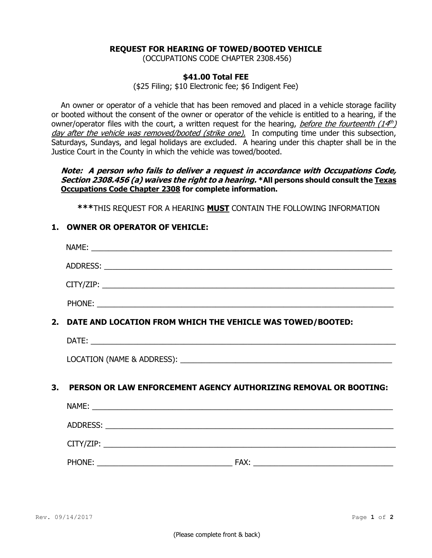#### **REQUEST FOR HEARING OF TOWED/BOOTED VEHICLE**

(OCCUPATIONS CODE CHAPTER 2308.456)

#### **\$41.00 Total FEE**

(\$25 Filing; \$10 Electronic fee; \$6 Indigent Fee)

An owner or operator of a vehicle that has been removed and placed in a vehicle storage facility or booted without the consent of the owner or operator of the vehicle is entitled to a hearing, if the owner/operator files with the court, a written request for the hearing, *before the fourteenth (14<sup>th</sup>)* day after the vehicle was removed/booted (strike one). In computing time under this subsection, Saturdays, Sundays, and legal holidays are excluded. A hearing under this chapter shall be in the Justice Court in the County in which the vehicle was towed/booted.

### **Note: A person who fails to deliver a request in accordance with Occupations Code, Section 2308.456 (a) waives the right to a hearing. \*All persons should consult the Texas Occupations Code Chapter 2308 for complete information.**

**\*\*\***THIS REQUEST FOR A HEARING **MUST** CONTAIN THE FOLLOWING INFORMATION

## **1. OWNER OR OPERATOR OF VEHICLE:**

|    | 2. DATE AND LOCATION FROM WHICH THE VEHICLE WAS TOWED/BOOTED:    |  |  |
|----|------------------------------------------------------------------|--|--|
|    |                                                                  |  |  |
|    |                                                                  |  |  |
| 3. | PERSON OR LAW ENFORCEMENT AGENCY AUTHORIZING REMOVAL OR BOOTING: |  |  |
|    |                                                                  |  |  |
|    |                                                                  |  |  |
|    |                                                                  |  |  |
|    |                                                                  |  |  |
|    |                                                                  |  |  |